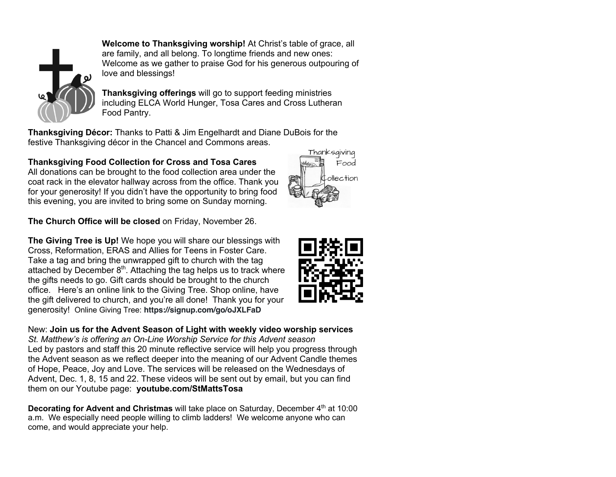

**Welcome to Thanksgiving worship!** At Christ's table of grace, all are family, and all belong. To longtime friends and new ones: Welcome as we gather to praise God for his generous outpouring of love and blessings!

**Thanksgiving offerings** will go to support feeding ministries including ELCA World Hunger, Tosa Cares and Cross Lutheran Food Pantry.

**Thanksgiving Décor:** Thanks to Patti & Jim Engelhardt and Diane DuBois for the festive Thanksgiving décor in the Chancel and Commons areas.

**Thanksgiving Food Collection for Cross and Tosa Cares** All donations can be brought to the food collection area under the coat rack in the elevator hallway across from the office. Thank you for your generosity! If you didn't have the opportunity to bring food this evening, you are invited to bring some on Sunday morning.

**The Church Office will be closed** on Friday, November 26.

**The Giving Tree is Up!** We hope you will share our blessings with Cross, Reformation, ERAS and Allies for Teens in Foster Care. Take a tag and bring the unwrapped gift to church with the tag attached by December  $8<sup>th</sup>$ . Attaching the tag helps us to track where the gifts needs to go. Gift cards should be brought to the church office. Here's an online link to the Giving Tree. Shop online, have the gift delivered to church, and you're all done! Thank you for your generosity! Online Giving Tree: **https://signup.com/go/oJXLFaD**

New: **Join us for the Advent Season of Light with weekly video worship services** *St. Matthew's is offering an On-Line Worship Service for this Advent season* Led by pastors and staff this 20 minute reflective service will help you progress through the Advent season as we reflect deeper into the meaning of our Advent Candle themes of Hope, Peace, Joy and Love. The services will be released on the Wednesdays of Advent, Dec. 1, 8, 15 and 22. These videos will be sent out by email, but you can find them on our Youtube page: **youtube.com/StMattsTosa**

**Decorating for Advent and Christmas** will take place on Saturday, December 4<sup>th</sup> at 10:00 a.m. We especially need people willing to climb ladders! We welcome anyone who can come, and would appreciate your help.



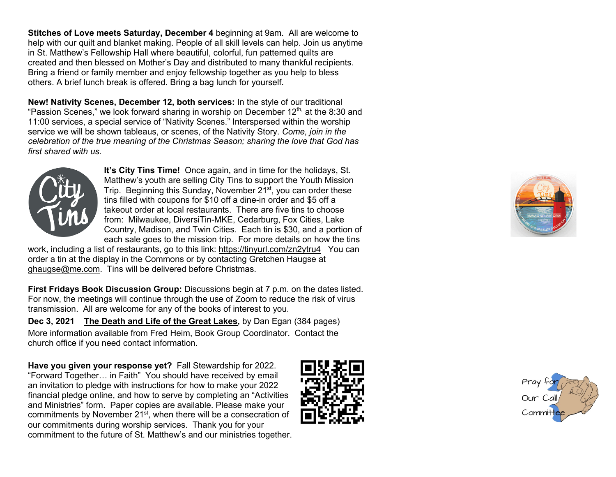**Stitches of Love meets Saturday, December 4** beginning at 9am. All are welcome to help with our quilt and blanket making. People of all skill levels can help. Join us anytime in St. Matthew's Fellowship Hall where beautiful, colorful, fun patterned quilts are created and then blessed on Mother's Day and distributed to many thankful recipients. Bring a friend or family member and enjoy fellowship together as you help to bless others. A brief lunch break is offered. Bring a bag lunch for yourself.

**New! Nativity Scenes, December 12, both services:** In the style of our traditional "Passion Scenes," we look forward sharing in worship on December  $12<sup>th</sup>$  at the 8:30 and 11:00 services, a special service of "Nativity Scenes." Interspersed within the worship service we will be shown tableaus, or scenes, of the Nativity Story. *Come, join in the celebration of the true meaning of the Christmas Season; sharing the love that God has first shared with us.*



**It's City Tins Time!** Once again, and in time for the holidays, St. Matthew's youth are selling City Tins to support the Youth Mission Trip. Beginning this Sunday, November 21<sup>st</sup>, you can order these tins filled with coupons for \$10 off a dine-in order and \$5 off a takeout order at local restaurants. There are five tins to choose from: Milwaukee, DiversiTin-MKE, Cedarburg, Fox Cities, Lake Country, Madison, and Twin Cities. Each tin is \$30, and a portion of each sale goes to the mission trip. For more details on how the tins

work, including a list of restaurants, go to this link: https://tinyurl.com/zn2ytru4You can order a tin at the display in the Commons or by contacting Gretchen Haugse at ghaugse@me.com. Tins will be delivered before Christmas.

**First Fridays Book Discussion Group:** Discussions begin at 7 p.m. on the dates listed. For now, the meetings will continue through the use of Zoom to reduce the risk of virus transmission. All are welcome for any of the books of interest to you.

**Dec 3, 2021 The Death and Life of the Great Lakes,** by Dan Egan (384 pages) More information available from Fred Heim, Book Group Coordinator. Contact the church office if you need contact information.

**Have you given your response yet?** Fall Stewardship for 2022. "Forward Together… in Faith" You should have received by email an invitation to pledge with instructions for how to make your 2022 financial pledge online, and how to serve by completing an "Activities and Ministries" form. Paper copies are available. Please make your commitments by November 21st, when there will be a consecration of our commitments during worship services. Thank you for your commitment to the future of St. Matthew's and our ministries together.